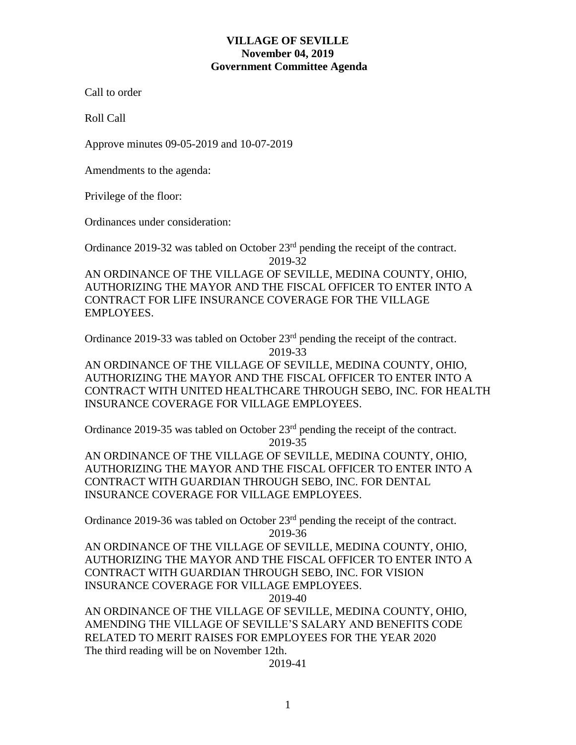## **VILLAGE OF SEVILLE November 04, 2019 Government Committee Agenda**

Call to order

Roll Call

Approve minutes 09-05-2019 and 10-07-2019

Amendments to the agenda:

Privilege of the floor:

Ordinances under consideration:

Ordinance 2019-32 was tabled on October 23rd pending the receipt of the contract. 2019-32

AN ORDINANCE OF THE VILLAGE OF SEVILLE, MEDINA COUNTY, OHIO, AUTHORIZING THE MAYOR AND THE FISCAL OFFICER TO ENTER INTO A CONTRACT FOR LIFE INSURANCE COVERAGE FOR THE VILLAGE EMPLOYEES.

Ordinance 2019-33 was tabled on October 23<sup>rd</sup> pending the receipt of the contract. 2019-33

AN ORDINANCE OF THE VILLAGE OF SEVILLE, MEDINA COUNTY, OHIO, AUTHORIZING THE MAYOR AND THE FISCAL OFFICER TO ENTER INTO A CONTRACT WITH UNITED HEALTHCARE THROUGH SEBO, INC. FOR HEALTH INSURANCE COVERAGE FOR VILLAGE EMPLOYEES.

Ordinance 2019-35 was tabled on October 23rd pending the receipt of the contract. 2019-35

AN ORDINANCE OF THE VILLAGE OF SEVILLE, MEDINA COUNTY, OHIO, AUTHORIZING THE MAYOR AND THE FISCAL OFFICER TO ENTER INTO A CONTRACT WITH GUARDIAN THROUGH SEBO, INC. FOR DENTAL INSURANCE COVERAGE FOR VILLAGE EMPLOYEES.

Ordinance 2019-36 was tabled on October 23<sup>rd</sup> pending the receipt of the contract. 2019-36

AN ORDINANCE OF THE VILLAGE OF SEVILLE, MEDINA COUNTY, OHIO, AUTHORIZING THE MAYOR AND THE FISCAL OFFICER TO ENTER INTO A CONTRACT WITH GUARDIAN THROUGH SEBO, INC. FOR VISION INSURANCE COVERAGE FOR VILLAGE EMPLOYEES.

2019-40

AN ORDINANCE OF THE VILLAGE OF SEVILLE, MEDINA COUNTY, OHIO, AMENDING THE VILLAGE OF SEVILLE'S SALARY AND BENEFITS CODE RELATED TO MERIT RAISES FOR EMPLOYEES FOR THE YEAR 2020 The third reading will be on November 12th.

2019-41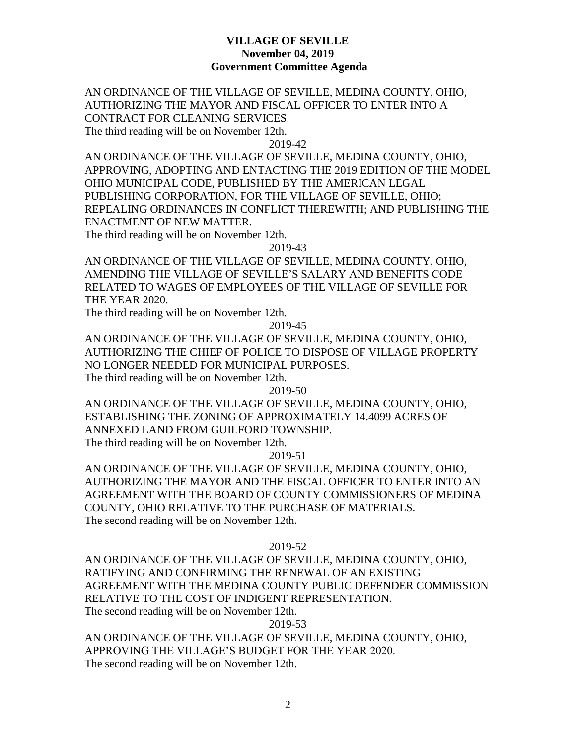# **VILLAGE OF SEVILLE November 04, 2019 Government Committee Agenda**

AN ORDINANCE OF THE VILLAGE OF SEVILLE, MEDINA COUNTY, OHIO, AUTHORIZING THE MAYOR AND FISCAL OFFICER TO ENTER INTO A CONTRACT FOR CLEANING SERVICES. The third reading will be on November 12th.

2019-42

AN ORDINANCE OF THE VILLAGE OF SEVILLE, MEDINA COUNTY, OHIO, APPROVING, ADOPTING AND ENTACTING THE 2019 EDITION OF THE MODEL OHIO MUNICIPAL CODE, PUBLISHED BY THE AMERICAN LEGAL PUBLISHING CORPORATION, FOR THE VILLAGE OF SEVILLE, OHIO; REPEALING ORDINANCES IN CONFLICT THEREWITH; AND PUBLISHING THE ENACTMENT OF NEW MATTER.

The third reading will be on November 12th.

2019-43

AN ORDINANCE OF THE VILLAGE OF SEVILLE, MEDINA COUNTY, OHIO, AMENDING THE VILLAGE OF SEVILLE'S SALARY AND BENEFITS CODE RELATED TO WAGES OF EMPLOYEES OF THE VILLAGE OF SEVILLE FOR THE YEAR 2020.

The third reading will be on November 12th.

2019-45

AN ORDINANCE OF THE VILLAGE OF SEVILLE, MEDINA COUNTY, OHIO, AUTHORIZING THE CHIEF OF POLICE TO DISPOSE OF VILLAGE PROPERTY NO LONGER NEEDED FOR MUNICIPAL PURPOSES.

The third reading will be on November 12th.

2019-50

AN ORDINANCE OF THE VILLAGE OF SEVILLE, MEDINA COUNTY, OHIO, ESTABLISHING THE ZONING OF APPROXIMATELY 14.4099 ACRES OF ANNEXED LAND FROM GUILFORD TOWNSHIP. The third reading will be on November 12th.

2019-51

AN ORDINANCE OF THE VILLAGE OF SEVILLE, MEDINA COUNTY, OHIO, AUTHORIZING THE MAYOR AND THE FISCAL OFFICER TO ENTER INTO AN AGREEMENT WITH THE BOARD OF COUNTY COMMISSIONERS OF MEDINA COUNTY, OHIO RELATIVE TO THE PURCHASE OF MATERIALS. The second reading will be on November 12th.

#### 2019-52

AN ORDINANCE OF THE VILLAGE OF SEVILLE, MEDINA COUNTY, OHIO, RATIFYING AND CONFIRMING THE RENEWAL OF AN EXISTING AGREEMENT WITH THE MEDINA COUNTY PUBLIC DEFENDER COMMISSION RELATIVE TO THE COST OF INDIGENT REPRESENTATION. The second reading will be on November 12th.

2019-53

AN ORDINANCE OF THE VILLAGE OF SEVILLE, MEDINA COUNTY, OHIO, APPROVING THE VILLAGE'S BUDGET FOR THE YEAR 2020. The second reading will be on November 12th.